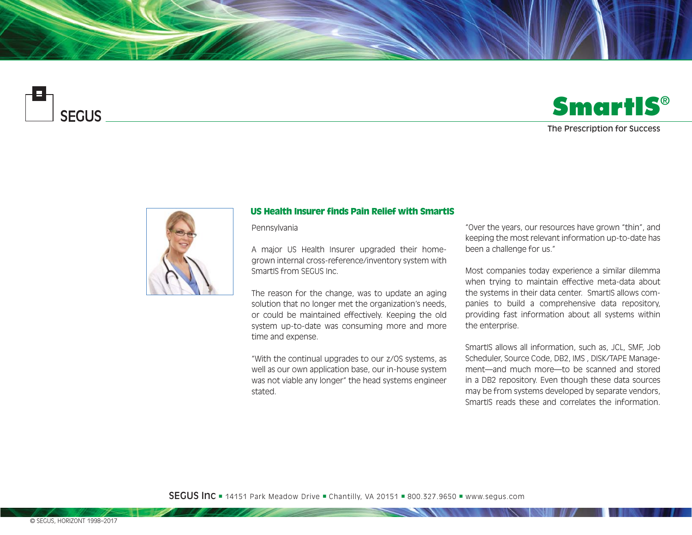

## **SmartIS**®

## The Prescription for Success



## US Health Insurer finds Pain Relief with SmartIS

Pennsylvania

A major US Health Insurer upgraded their homegrown internal cross-reference/inventory system with SmartIS from SEGUS Inc.

The reason for the change, was to update an aging solution that no longer met the organization's needs, or could be maintained effectively. Keeping the old system up-to-date was consuming more and more time and expense.

"With the continual upgrades to our z/OS systems, as well as our own application base, our in-house system was not viable any longer" the head systems engineer stated.

"Over the years, our resources have grown "thin", and keeping the most relevant information up-to-date has been a challenge for us."

Most companies today experience a similar dilemma when trying to maintain effective meta-data about the systems in their data center. SmartIS allows companies to build a comprehensive data repository, providing fast information about all systems within the enterprise.

SmartIS allows all information, such as, JCL, SMF, Job Scheduler, Source Code, DB2, IMS , DISK/TAPE Management—and much more—to be scanned and stored in a DB2 repository. Even though these data sources may be from systems developed by separate vendors, SmartIS reads these and correlates the information.

**SEGUS Inc**  $=$  14151 Park Meadow Drive  $=$  Chantilly, VA 20151  $=$  800.327.9650  $=$  www.segus.com